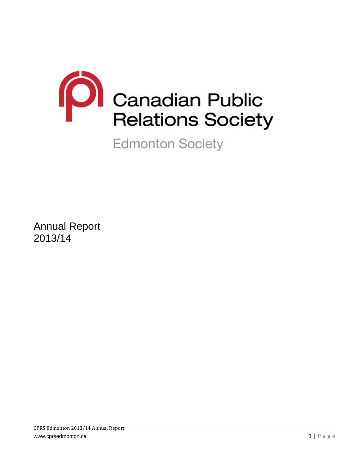

**Edmonton Society** 

Annual Report 2013/14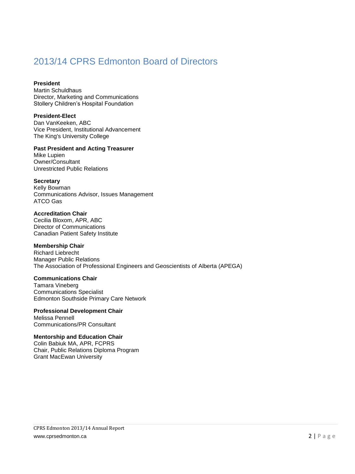# 2013/14 CPRS Edmonton Board of Directors

### **President**

Martin Schuldhaus Director, Marketing and Communications Stollery Children's Hospital Foundation

### **President-Elect**

Dan VanKeeken, ABC Vice President, Institutional Advancement The King's University College

# **Past President and Acting Treasurer**

Mike Lupien Owner/Consultant Unrestricted Public Relations

#### **Secretary**

Kelly Bowman Communications Advisor, Issues Management ATCO Gas

#### **Accreditation Chair**

Cecilia Bloxom, APR, ABC Director of Communications Canadian Patient Safety Institute

# **Membership Chair**

Richard Liebrecht Manager Public Relations The Association of Professional Engineers and Geoscientists of Alberta (APEGA)

#### **Communications Chair**

Tamara Vineberg Communications Specialist Edmonton Southside Primary Care Network

#### **Professional Development Chair** Melissa Pennell Communications/PR Consultant

# **Mentorship and Education Chair**

Colin Babiuk MA, APR, FCPRS Chair, Public Relations Diploma Program Grant MacEwan University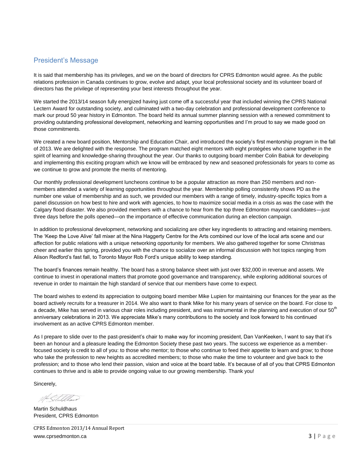# President's Message

It is said that membership has its privileges, and we on the board of directors for CPRS Edmonton would agree. As the public relations profession in Canada continues to grow, evolve and adapt, your local professional society and its volunteer board of directors has the privilege of representing your best interests throughout the year.

We started the 2013/14 season fully energized having just come off a successful year that included winning the CPRS National Lectern Award for outstanding society, and culminated with a two-day celebration and professional development conference to mark our proud 50 year history in Edmonton. The board held its annual summer planning session with a renewed commitment to providing outstanding professional development, networking and learning opportunities and I'm proud to say we made good on those commitments.

We created a new board position, Mentorship and Education Chair, and introduced the society's first mentorship program in the fall of 2013. We are delighted with the response. The program matched eight mentors with eight protégées who came together in the spirit of learning and knowledge-sharing throughout the year. Our thanks to outgoing board member Colin Babiuk for developing and implementing this exciting program which we know will be embraced by new and seasoned professionals for years to come as we continue to grow and promote the merits of mentoring.

Our monthly professional development luncheons continue to be a popular attraction as more than 250 members and nonmembers attended a variety of learning opportunities throughout the year. Membership polling consistently shows PD as the number one value of membership and as such, we provided our members with a range of timely, industry-specific topics from a panel discussion on how best to hire and work with agencies, to how to maximize social media in a crisis as was the case with the Calgary flood disaster. We also provided members with a chance to hear from the top three Edmonton mayoral candidates—just three days before the polls opened—on the importance of effective communication during an election campaign.

In addition to professional development, networking and socializing are other key ingredients to attracting and retaining members. The 'Keep the Love Alive' fall mixer at the Nina Haggerty Centre for the Arts combined our love of the local arts scene and our affection for public relations with a unique networking opportunity for members. We also gathered together for some Christmas cheer and earlier this spring, provided you with the chance to socialize over an informal discussion with hot topics ranging from Alison Redford's fast fall, to Toronto Mayor Rob Ford's unique ability to keep standing.

The board's finances remain healthy. The board has a strong balance sheet with just over \$32,000 in revenue and assets. We continue to invest in operational matters that promote good governance and transparency, while exploring additional sources of revenue in order to maintain the high standard of service that our members have come to expect.

The board wishes to extend its appreciation to outgoing board member Mike Lupien for maintaining our finances for the year as the board actively recruits for a treasurer in 2014. We also want to thank Mike for his many years of service on the board. For close to a decade, Mike has served in various chair roles including president, and was instrumental in the planning and execution of our 50<sup>th</sup> anniversary celebrations in 2013. We appreciate Mike's many contributions to the society and look forward to his continued involvement as an active CPRS Edmonton member.

As I prepare to slide over to the past-president's chair to make way for incoming president, Dan VanKeeken, I want to say that it's been an honour and a pleasure leading the Edmonton Society these past two years. The success we experience as a memberfocused society is credit to all of you: to those who mentor; to those who continue to feed their appetite to learn and grow; to those who take the profession to new heights as accredited members; to those who make the time to volunteer and give back to the profession; and to those who lend their passion, vision and voice at the board table. It's because of all of you that CPRS Edmonton continues to thrive and is able to provide ongoing value to our growing membership. Thank you!

Sincerely,

ME Schildhaus

Martin Schuldhaus President, CPRS Edmonton

CPRS Edmonton 2013/14 Annual Report www.cprsedmonton.ca 3 | P a g e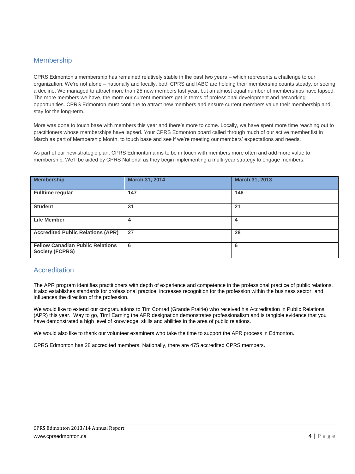# Membership

CPRS Edmonton's membership has remained relatively stable in the past two years – which represents a challenge to our organization. We're not alone – nationally and locally, both CPRS and IABC are holding their membership counts steady, or seeing a decline. We managed to attract more than 25 new members last year, but an almost equal number of memberships have lapsed. The more members we have, the more our current members get in terms of professional development and networking opportunities. CPRS Edmonton must continue to attract new members and ensure current members value their membership and stay for the long-term.

More was done to touch base with members this year and there's more to come. Locally, we have spent more time reaching out to practitioners whose memberships have lapsed. Your CPRS Edmonton board called through much of our active member list in March as part of Membership Month, to touch base and see if we're meeting our members' expectations and needs.

As part of our new strategic plan, CPRS Edmonton aims to be in touch with members more often and add more value to membership. We'll be aided by CPRS National as they begin implementing a multi-year strategy to engage members.

| <b>Membership</b>                                                 | March 31, 2014 | March 31, 2013 |
|-------------------------------------------------------------------|----------------|----------------|
| <b>Fulltime regular</b>                                           | 147            | 146            |
| <b>Student</b>                                                    | 31             | 21             |
| <b>Life Member</b>                                                | 4              | 4              |
| <b>Accredited Public Relations (APR)</b>                          | 27             | 28             |
| <b>Fellow Canadian Public Relations</b><br><b>Society (FCPRS)</b> | 6              | 6              |

# **Accreditation**

The APR program identifies practitioners with depth of experience and competence in the professional practice of public relations. It also establishes standards for professional practice, increases recognition for the profession within the business sector, and influences the direction of the profession.

We would like to extend our congratulations to Tim Conrad (Grande Prairie) who received his Accreditation in Public Relations (APR) this year. Way to go, Tim! Earning the APR designation demonstrates professionalism and is tangible evidence that you have demonstrated a high level of knowledge, skills and abilities in the area of public relations.

We would also like to thank our volunteer examiners who take the time to support the APR process in Edmonton.

CPRS Edmonton has 28 accredited members. Nationally, there are 475 accredited CPRS members.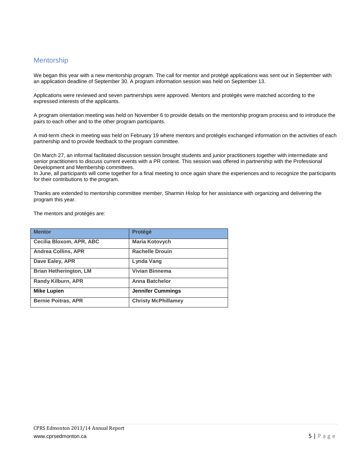# Mentorship

We began this year with a new mentorship program. The call for mentor and protégé applications was sent out in September with an application deadline of September 30. A program information session was held on September 13.

Applications were reviewed and seven partnerships were approved. Mentors and protégés were matched according to the expressed interests of the applicants.

A program orientation meeting was held on November 6 to provide details on the mentorship program process and to introduce the pairs to each other and to the other program participants.

A mid-term check in meeting was held on February 19 where mentors and protégés exchanged information on the activities of each partnership and to provide feedback to the program committee.

On March 27, an informal facilitated discussion session brought students and junior practitioners together with intermediate and senior practitioners to discuss current events with a PR context. This session was offered in partnership with the Professional Development and Membership committees.

In June, all participants will come together for a final meeting to once again share the experiences and to recognize the participants for their contributions to the program.

Thanks are extended to mentorship committee member, Sharmin Hislop for her assistance with organizing and delivering the program this year.

The mentors and protégés are:

| <b>Mentor</b>                 | <b>Protégé</b>             |
|-------------------------------|----------------------------|
| Cecilia Bloxom, APR, ABC      | <b>Maria Kotovych</b>      |
| <b>Andrea Collins, APR</b>    | <b>Rachelle Drouin</b>     |
| Dave Ealey, APR               | Lynda Vang                 |
| <b>Brian Hetherington, LM</b> | <b>Vivian Binnema</b>      |
| <b>Randy Kilburn, APR</b>     | <b>Anna Batchelor</b>      |
| <b>Mike Lupien</b>            | <b>Jennifer Cummings</b>   |
| <b>Bernie Poitras, APR</b>    | <b>Christy McPhillamev</b> |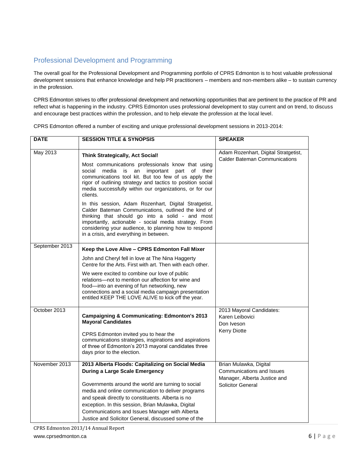# Professional Development and Programming

The overall goal for the Professional Development and Programming portfolio of CPRS Edmonton is to host valuable professional development sessions that enhance knowledge and help PR practitioners – members and non-members alike – to sustain currency in the profession.

CPRS Edmonton strives to offer professional development and networking opportunities that are pertinent to the practice of PR and reflect what is happening in the industry. CPRS Edmonton uses professional development to stay current and on trend, to discuss and encourage best practices within the profession, and to help elevate the profession at the local level.

CPRS Edmonton offered a number of exciting and unique professional development sessions in 2013-2014:

| <b>DATE</b>    | <b>SESSION TITLE &amp; SYNOPSIS</b>                                                                                                                                                                                                                                                                                                                                                                                                                                                                                                                                                                                                                                                    | <b>SPEAKER</b>                                                                                           |
|----------------|----------------------------------------------------------------------------------------------------------------------------------------------------------------------------------------------------------------------------------------------------------------------------------------------------------------------------------------------------------------------------------------------------------------------------------------------------------------------------------------------------------------------------------------------------------------------------------------------------------------------------------------------------------------------------------------|----------------------------------------------------------------------------------------------------------|
| May 2013       | <b>Think Strategically, Act Social!</b><br>Most communications professionals know that using<br>media<br>an<br>important<br>part of their<br>social<br>is<br>communications tool kit. But too few of us apply the<br>rigor of outlining strategy and tactics to position social<br>media successfully within our organizations, or for our<br>clients.<br>In this session, Adam Rozenhart, Digital Stratgetist,<br>Calder Bateman Communications, outlined the kind of<br>thinking that should go into a solid - and most<br>importantly, actionable - social media strategy. From<br>considering your audience, to planning how to respond<br>in a crisis, and everything in between. | Adam Rozenhart, Digital Stratgetist,<br><b>Calder Bateman Communications</b>                             |
| September 2013 | Keep the Love Alive - CPRS Edmonton Fall Mixer<br>John and Cheryl fell in love at The Nina Haggerty<br>Centre for the Arts. First with art. Then with each other.<br>We were excited to combine our love of public<br>relations—not to mention our affection for wine and<br>food—into an evening of fun networking, new<br>connections and a social media campaign presentation<br>entitled KEEP THE LOVE ALIVE to kick off the year.                                                                                                                                                                                                                                                 |                                                                                                          |
| October 2013   | <b>Campaigning &amp; Communicating: Edmonton's 2013</b><br><b>Mayoral Candidates</b><br>CPRS Edmonton invited you to hear the<br>communications strategies, inspirations and aspirations<br>of three of Edmonton's 2013 mayoral candidates three<br>days prior to the election.                                                                                                                                                                                                                                                                                                                                                                                                        | 2013 Mayoral Candidates:<br>Karen Leibovici<br>Don Iveson<br><b>Kerry Diotte</b>                         |
| November 2013  | 2013 Alberta Floods: Capitalizing on Social Media<br><b>During a Large Scale Emergency</b><br>Governments around the world are turning to social<br>media and online communication to deliver programs<br>and speak directly to constituents. Alberta is no<br>exception. In this session, Brian Mulawka, Digital<br>Communications and Issues Manager with Alberta<br>Justice and Solicitor General, discussed some of the                                                                                                                                                                                                                                                            | Brian Mulawka, Digital<br>Communications and Issues<br>Manager, Alberta Justice and<br>Solicitor General |

CPRS Edmonton 2013/14 Annual Report www.cprsedmonton.ca 6 | P a g e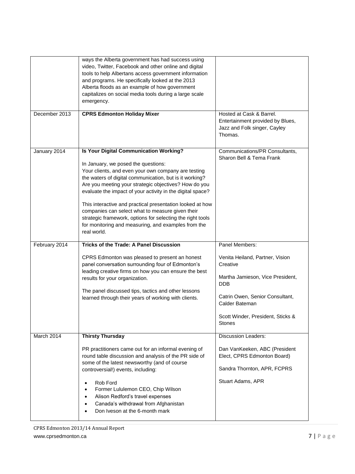| ways the Alberta government has had success using<br>video, Twitter, Facebook and other online and digital<br>tools to help Albertans access government information<br>and programs. He specifically looked at the 2013<br>Alberta floods as an example of how government<br>capitalizes on social media tools during a large scale<br>emergency.                                                                                                                                                                                                                           |                                                                                                                                                                                                   |
|-----------------------------------------------------------------------------------------------------------------------------------------------------------------------------------------------------------------------------------------------------------------------------------------------------------------------------------------------------------------------------------------------------------------------------------------------------------------------------------------------------------------------------------------------------------------------------|---------------------------------------------------------------------------------------------------------------------------------------------------------------------------------------------------|
|                                                                                                                                                                                                                                                                                                                                                                                                                                                                                                                                                                             | Hosted at Cask & Barrel.<br>Entertainment provided by Blues,<br>Jazz and Folk singer, Cayley<br>Thomas.                                                                                           |
| Is Your Digital Communication Working?<br>In January, we posed the questions:<br>Your clients, and even your own company are testing<br>the waters of digital communication, but is it working?<br>Are you meeting your strategic objectives? How do you<br>evaluate the impact of your activity in the digital space?<br>This interactive and practical presentation looked at how<br>companies can select what to measure given their<br>strategic framework, options for selecting the right tools<br>for monitoring and measuring, and examples from the<br>real world. | Communications/PR Consultants,<br>Sharon Bell & Tema Frank                                                                                                                                        |
| <b>Tricks of the Trade: A Panel Discussion</b>                                                                                                                                                                                                                                                                                                                                                                                                                                                                                                                              | Panel Members:                                                                                                                                                                                    |
| CPRS Edmonton was pleased to present an honest<br>panel conversation surrounding four of Edmonton's<br>leading creative firms on how you can ensure the best<br>results for your organization.<br>The panel discussed tips, tactics and other lessons<br>learned through their years of working with clients.                                                                                                                                                                                                                                                               | Venita Heiland, Partner, Vision<br>Creative<br>Martha Jamieson, Vice President,<br><b>DDB</b><br>Catrin Owen, Senior Consultant,<br>Calder Bateman<br>Scott Winder, President, Sticks &<br>Stones |
|                                                                                                                                                                                                                                                                                                                                                                                                                                                                                                                                                                             | <b>Discussion Leaders:</b>                                                                                                                                                                        |
| PR practitioners came out for an informal evening of                                                                                                                                                                                                                                                                                                                                                                                                                                                                                                                        | Dan VanKeeken, ABC (President                                                                                                                                                                     |
| round table discussion and analysis of the PR side of                                                                                                                                                                                                                                                                                                                                                                                                                                                                                                                       | Elect, CPRS Edmonton Board)                                                                                                                                                                       |
|                                                                                                                                                                                                                                                                                                                                                                                                                                                                                                                                                                             | <b>CPRS Edmonton Holiday Mixer</b><br><b>Thirsty Thursday</b>                                                                                                                                     |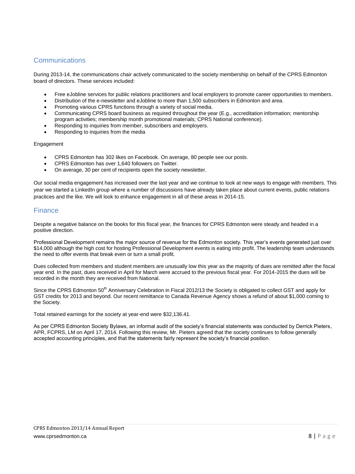# **Communications**

During 2013-14, the communications chair actively communicated to the society membership on behalf of the CPRS Edmonton board of directors. These services included:

- Free eJobline services for public relations practitioners and local employers to promote career opportunities to members.
- Distribution of the e-newsletter and eJobline to more than 1,500 subscribers in Edmonton and area.
- Promoting various CPRS functions through a variety of social media.
- Communicating CPRS board business as required throughout the year (E.g., accreditation information; mentorship program activities; membership month promotional materials; CPRS National conference).
- Responding to inquiries from member, subscribers and employers.
- Responding to inquiries from the media

#### Engagement

- CPRS Edmonton has 302 likes on Facebook. On average, 80 people see our posts.
- CPRS Edmonton has over 1,640 followers on Twitter.
- On average, 30 per cent of recipients open the society newsletter.

Our social media engagement has increased over the last year and we continue to look at new ways to engage with members. This year we started a LinkedIn group where a number of discussions have already taken place about current events, public relations practices and the like. We will look to enhance engagement in all of these areas in 2014-15.

# **Finance**

Despite a negative balance on the books for this fiscal year, the finances for CPRS Edmonton were steady and headed in a positive direction.

Professional Development remains the major source of revenue for the Edmonton society. This year's events generated just over \$14,000 although the high cost for hosting Professional Development events is eating into profit. The leadership team understands the need to offer events that break even or turn a small profit.

Dues collected from members and student members are unusually low this year as the majority of dues are remitted after the fiscal year end. In the past, dues received in April for March were accrued to the previous fiscal year. For 2014-2015 the dues will be recorded in the month they are received from National.

Since the CPRS Edmonton 50<sup>th</sup> Anniversary Celebration in Fiscal 2012/13 the Society is obligated to collect GST and apply for GST credits for 2013 and beyond. Our recent remittance to Canada Revenue Agency shows a refund of about \$1,000 coming to the Society.

Total retained earnings for the society at year-end were \$32,136.41.

As per CPRS Edmonton Society Bylaws, an informal audit of the society's financial statements was conducted by Derrick Pieters, APR, FCPRS, LM on April 17, 2014. Following this review, Mr. Pieters agreed that the society continues to follow generally accepted accounting principles, and that the statements fairly represent the society's financial position.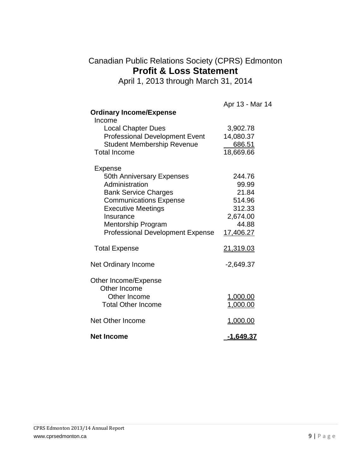# Canadian Public Relations Society (CPRS) Edmonton **Profit & Loss Statement**

April 1, 2013 through March 31, 2014

|                                         | Apr 13 - Mar 14  |
|-----------------------------------------|------------------|
| <b>Ordinary Income/Expense</b>          |                  |
| Income                                  |                  |
| <b>Local Chapter Dues</b>               | 3,902.78         |
| <b>Professional Development Event</b>   | 14,080.37        |
| <b>Student Membership Revenue</b>       | 686.51           |
| <b>Total Income</b>                     | 18,669.66        |
| Expense                                 |                  |
| <b>50th Anniversary Expenses</b>        | 244.76           |
| Administration                          | 99.99            |
| <b>Bank Service Charges</b>             | 21.84            |
| <b>Communications Expense</b>           | 514.96           |
| <b>Executive Meetings</b>               | 312.33           |
| Insurance                               | 2,674.00         |
| Mentorship Program                      | 44.88            |
| <b>Professional Development Expense</b> | 17,406.27        |
| <b>Total Expense</b>                    | 21,319.03        |
| Net Ordinary Income                     | $-2,649.37$      |
| Other Income/Expense<br>Other Income    |                  |
| Other Income                            | <u>1,000.00</u>  |
| <b>Total Other Income</b>               | 1,000.00         |
|                                         |                  |
| Net Other Income                        | 1,000.00         |
| <b>Net Income</b>                       | <u>-1,649.37</u> |